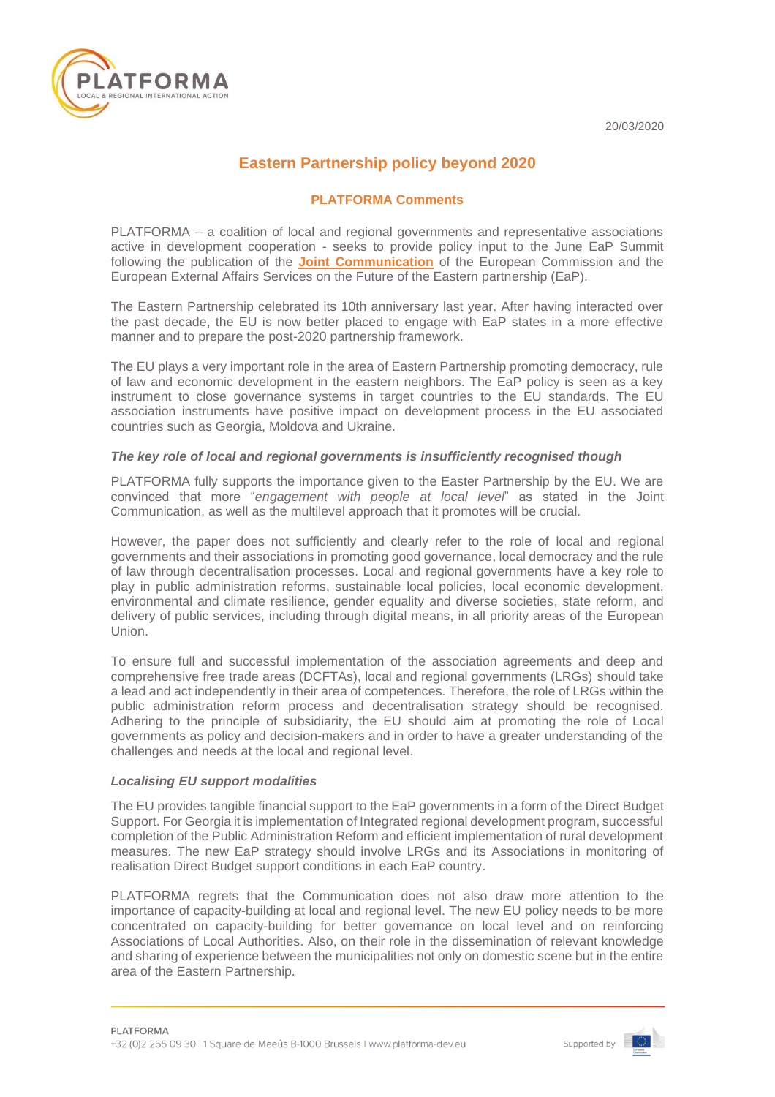20/03/2020



# **Eastern Partnership policy beyond 2020**

# **PLATFORMA Comments**

PLATFORMA – a coalition of local and regional governments and representative associations active in development cooperation - seeks to provide policy input to the June EaP Summit following the publication of the **[Joint Communication](https://ec.europa.eu/neighbourhood-enlargement/sites/near/files/joint_communication_on_the_eap_policy_beyond_2020.pdf)** of the European Commission and the European External Affairs Services on the Future of the Eastern partnership (EaP).

The Eastern Partnership celebrated its 10th anniversary last year. After having interacted over the past decade, the EU is now better placed to engage with EaP states in a more effective manner and to prepare the post-2020 partnership framework.

The EU plays a very important role in the area of Eastern Partnership promoting democracy, rule of law and economic development in the eastern neighbors. The EaP policy is seen as a key instrument to close governance systems in target countries to the EU standards. The EU association instruments have positive impact on development process in the EU associated countries such as Georgia, Moldova and Ukraine.

#### *The key role of local and regional governments is insufficiently recognised though*

PLATFORMA fully supports the importance given to the Easter Partnership by the EU. We are convinced that more "*engagement with people at local level*" as stated in the Joint Communication, as well as the multilevel approach that it promotes will be crucial.

However, the paper does not sufficiently and clearly refer to the role of local and regional governments and their associations in promoting good governance, local democracy and the rule of law through decentralisation processes. Local and regional governments have a key role to play in public administration reforms, sustainable local policies, local economic development, environmental and climate resilience, gender equality and diverse societies, state reform, and delivery of public services, including through digital means, in all priority areas of the European Union.

To ensure full and successful implementation of the association agreements and deep and comprehensive free trade areas (DCFTAs), local and regional governments (LRGs) should take a lead and act independently in their area of competences. Therefore, the role of LRGs within the public administration reform process and decentralisation strategy should be recognised. Adhering to the principle of subsidiarity, the EU should aim at promoting the role of Local governments as policy and decision-makers and in order to have a greater understanding of the challenges and needs at the local and regional level.

## *Localising EU support modalities*

The EU provides tangible financial support to the EaP governments in a form of the Direct Budget Support. For Georgia it is implementation of Integrated regional development program, successful completion of the Public Administration Reform and efficient implementation of rural development measures. The new EaP strategy should involve LRGs and its Associations in monitoring of realisation Direct Budget support conditions in each EaP country.

PLATFORMA regrets that the Communication does not also draw more attention to the importance of capacity-building at local and regional level. The new EU policy needs to be more concentrated on capacity-building for better governance on local level and on reinforcing Associations of Local Authorities. Also, on their role in the dissemination of relevant knowledge and sharing of experience between the municipalities not only on domestic scene but in the entire area of the Eastern Partnership.



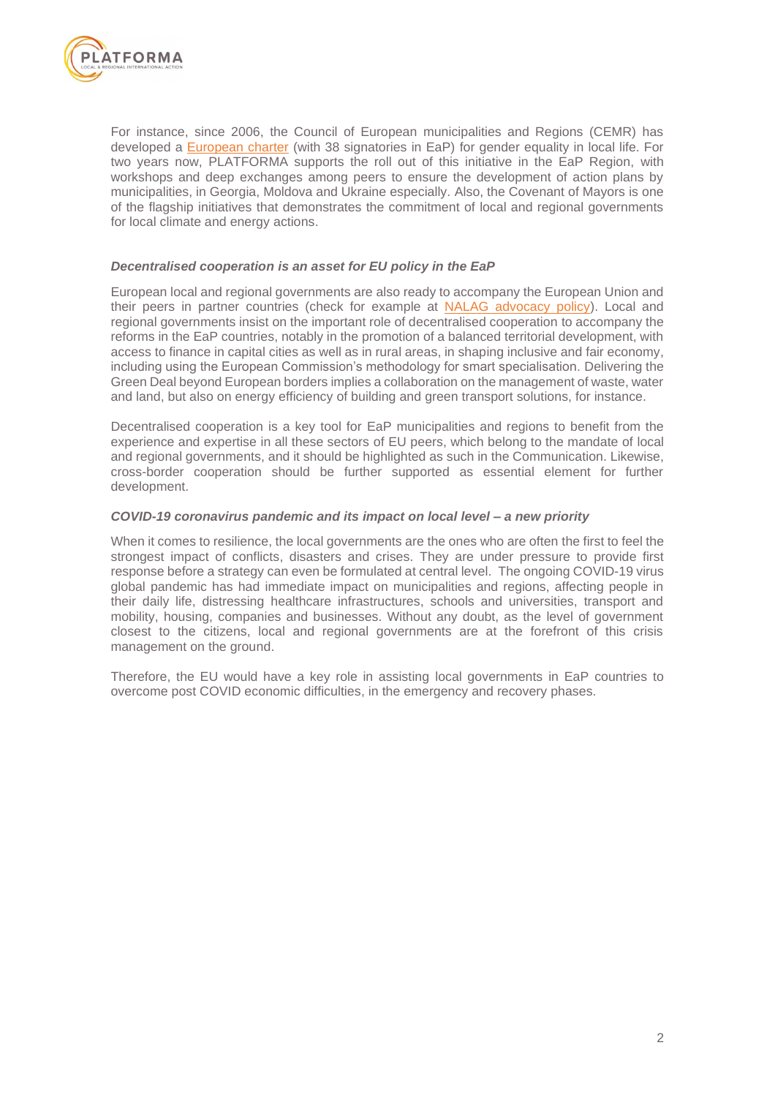

For instance, since 2006, the Council of European municipalities and Regions (CEMR) has developed a [European charter](https://charter-equality.eu/the-charter/la-presidence-en.html) (with 38 signatories in EaP) for gender equality in local life. For two years now, PLATFORMA supports the roll out of this initiative in the EaP Region, with workshops and deep exchanges among peers to ensure the development of action plans by municipalities, in Georgia, Moldova and Ukraine especially. Also, the Covenant of Mayors is one of the flagship initiatives that demonstrates the commitment of local and regional governments for local climate and energy actions.

### *Decentralised cooperation is an asset for EU policy in the EaP*

European local and regional governments are also ready to accompany the European Union and their peers in partner countries (check for example at [NALAG advocacy policy\)](https://platforma-dev.eu/lets-look-advocacy-strategy-georgian-association-local-authorities/). Local and regional governments insist on the important role of decentralised cooperation to accompany the reforms in the EaP countries, notably in the promotion of a balanced territorial development, with access to finance in capital cities as well as in rural areas, in shaping inclusive and fair economy, including using the European Commission's methodology for smart specialisation. Delivering the Green Deal beyond European borders implies a collaboration on the management of waste, water and land, but also on energy efficiency of building and green transport solutions, for instance.

Decentralised cooperation is a key tool for EaP municipalities and regions to benefit from the experience and expertise in all these sectors of EU peers, which belong to the mandate of local and regional governments, and it should be highlighted as such in the Communication. Likewise, cross-border cooperation should be further supported as essential element for further development.

#### *COVID-19 coronavirus pandemic and its impact on local level – a new priority*

When it comes to resilience, the local governments are the ones who are often the first to feel the strongest impact of conflicts, disasters and crises. They are under pressure to provide first response before a strategy can even be formulated at central level. The ongoing COVID-19 virus global pandemic has had immediate impact on municipalities and regions, affecting people in their daily life, distressing healthcare infrastructures, schools and universities, transport and mobility, housing, companies and businesses. Without any doubt, as the level of government closest to the citizens, local and regional governments are at the forefront of this crisis management on the ground.

Therefore, the EU would have a key role in assisting local governments in EaP countries to overcome post COVID economic difficulties, in the emergency and recovery phases.